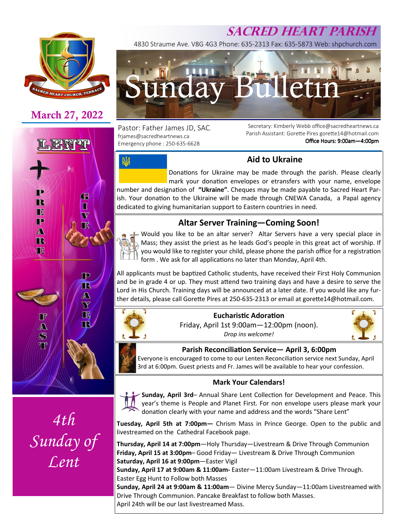

## **March 27, 2022**





*4th Sunday of Lent* 

# **SACRED HEART PARISH**

4830 Straume Ave. V8G 4G3 Phone: 635-2313 Fax: 635-5873 Web: shpchurch.com



Pastor: Father James JD, SAC. frjames@sacredheartnews.ca Emergency phone : 250-635-6628

网

Secretary: Kimberly Webb office@sacredheartnews.ca Parish Assistant: Gorette Pires gorette14@hotmail.com Office Hours: 9:00am-4:00pm

### **Aid to Ukraine**

Donations for Ukraine may be made through the parish. Please clearly mark your donation envelopes or etransfers with your name, envelope number and designation of "Ukraine". Cheques may be made payable to Sacred Heart Parish. Your donation to the Ukiraine will be made through CNEWA Canada, a Papal agency

## **Altar Server Training—Coming Soon!**

dedicated to giving humanitarian support to Eastern countries in need.

Would you like to be an altar server? Altar Servers have a very special place in Mass; they assist the priest as he leads God's people in this great act of worship. If you would like to register your child, please phone the parish office for a registration form . We ask for all applications no later than Monday, April 4th.

All applicants must be baptized Catholic students, have received their First Holy Communion and be in grade 4 or up. They must attend two training days and have a desire to serve the Lord in His Church. Training days will be announced at a later date. If you would like any further details, please call Gorette Pires at 250-635-2313 or email at gorette14@hotmail.com.



## **Eucharistic Adoration**

Friday, April 1st 9:00am—12:00pm (noon). *Drop ins welcome!* 



#### **Parish Reconciliation Service - April 3, 6:00pm**

Everyone is encouraged to come to our Lenten Reconciliation service next Sunday, April 3rd at 6:00pm. Guest priests and Fr. James will be available to hear your confession.

#### **Mark Your Calendars!**



**Tuesday, April 5th at 7:00pm—** Chrism Mass in Prince George. Open to the public and livestreamed on the Cathedral Facebook page.

**Thursday, April 14 at 7:00pm**—Holy Thursday—Livestream & Drive Through Communion **Friday, April 15 at 3:00pm**– Good Friday— Livestream & Drive Through Communion **Saturday, April 16 at 9:00pm**—Easter Vigil

**Sunday, April 17 at 9:00am & 11:00am-** Easter—11:00am Livestream & Drive Through. Easter Egg Hunt to Follow both Masses

**Sunday, April 24 at 9:00am & 11:00am**— Divine Mercy Sunday—11:00am Livestreamed with Drive Through Communion. Pancake Breakfast to follow both Masses. April 24th will be our last livestreamed Mass.